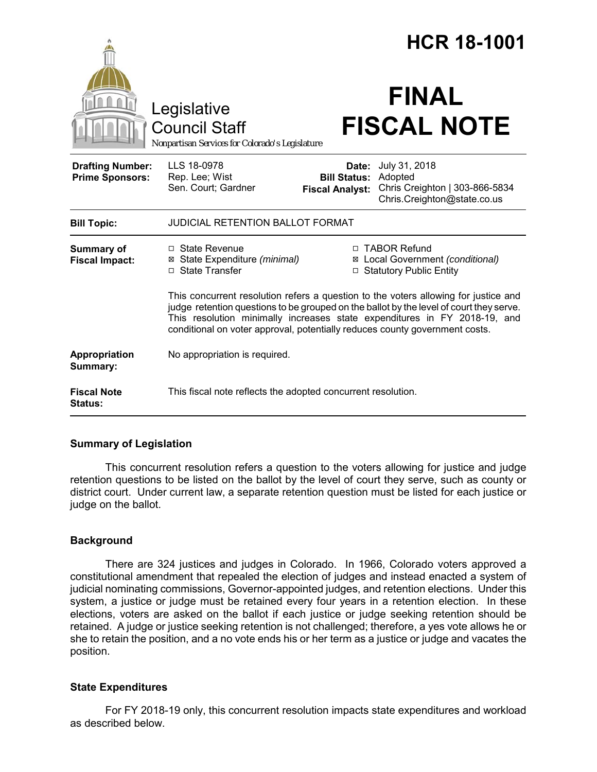|                                                   |                                                                                                                                                                                                                                                                                                                                            |                                                        | <b>HCR 18-1001</b>                                                                        |  |
|---------------------------------------------------|--------------------------------------------------------------------------------------------------------------------------------------------------------------------------------------------------------------------------------------------------------------------------------------------------------------------------------------------|--------------------------------------------------------|-------------------------------------------------------------------------------------------|--|
|                                                   | Legislative<br><b>Council Staff</b><br>Nonpartisan Services for Colorado's Legislature                                                                                                                                                                                                                                                     |                                                        | <b>FINAL</b><br><b>FISCAL NOTE</b>                                                        |  |
| <b>Drafting Number:</b><br><b>Prime Sponsors:</b> | LLS 18-0978<br>Rep. Lee; Wist<br>Sen. Court; Gardner                                                                                                                                                                                                                                                                                       | Date:<br><b>Bill Status:</b><br><b>Fiscal Analyst:</b> | July 31, 2018<br>Adopted<br>Chris Creighton   303-866-5834<br>Chris.Creighton@state.co.us |  |
| <b>Bill Topic:</b>                                | <b>JUDICIAL RETENTION BALLOT FORMAT</b>                                                                                                                                                                                                                                                                                                    |                                                        |                                                                                           |  |
| Summary of<br><b>Fiscal Impact:</b>               | □ State Revenue<br>⊠ State Expenditure (minimal)<br>□ State Transfer                                                                                                                                                                                                                                                                       |                                                        | □ TABOR Refund<br>⊠ Local Government (conditional)<br>□ Statutory Public Entity           |  |
|                                                   | This concurrent resolution refers a question to the voters allowing for justice and<br>judge retention questions to be grouped on the ballot by the level of court they serve.<br>This resolution minimally increases state expenditures in FY 2018-19, and<br>conditional on voter approval, potentially reduces county government costs. |                                                        |                                                                                           |  |
| Appropriation<br>Summary:                         | No appropriation is required.                                                                                                                                                                                                                                                                                                              |                                                        |                                                                                           |  |
| <b>Fiscal Note</b><br><b>Status:</b>              | This fiscal note reflects the adopted concurrent resolution.                                                                                                                                                                                                                                                                               |                                                        |                                                                                           |  |

# **Summary of Legislation**

This concurrent resolution refers a question to the voters allowing for justice and judge retention questions to be listed on the ballot by the level of court they serve, such as county or district court. Under current law, a separate retention question must be listed for each justice or judge on the ballot.

# **Background**

There are 324 justices and judges in Colorado. In 1966, Colorado voters approved a constitutional amendment that repealed the election of judges and instead enacted a system of judicial nominating commissions, Governor-appointed judges, and retention elections. Under this system, a justice or judge must be retained every four years in a retention election. In these elections, voters are asked on the ballot if each justice or judge seeking retention should be retained. A judge or justice seeking retention is not challenged; therefore, a yes vote allows he or she to retain the position, and a no vote ends his or her term as a justice or judge and vacates the position.

# **State Expenditures**

For FY 2018-19 only, this concurrent resolution impacts state expenditures and workload as described below.